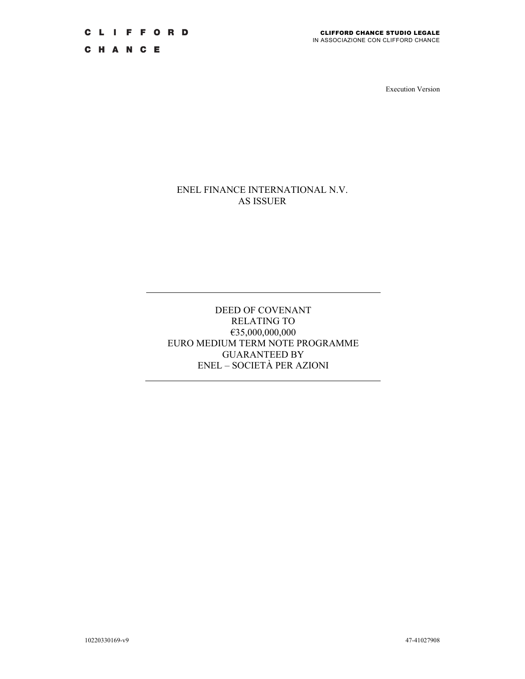C H A N C E

Execution Version

# ENEL FINANCE INTERNATIONAL N.V. AS ISSUER

# DEED OF COVENANT RELATING TO €35,000,000,000 EURO MEDIUM TERM NOTE PROGRAMME GUARANTEED BY ENEL – SOCIETÀ PER AZIONI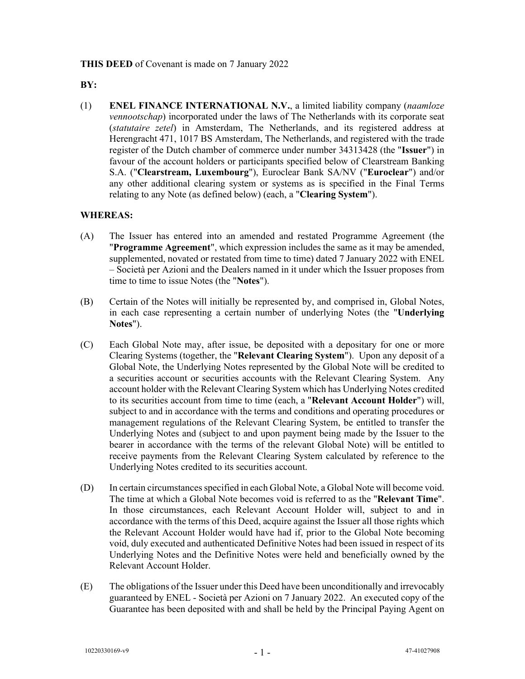### **BY:**

(1) **ENEL FINANCE INTERNATIONAL N.V.**, a limited liability company (*naamloze vennootschap*) incorporated under the laws of The Netherlands with its corporate seat (*statutaire zetel*) in Amsterdam, The Netherlands, and its registered address at Herengracht 471, 1017 BS Amsterdam, The Netherlands, and registered with the trade register of the Dutch chamber of commerce under number 34313428 (the "**Issuer**") in favour of the account holders or participants specified below of Clearstream Banking S.A. ("**Clearstream, Luxembourg**"), Euroclear Bank SA/NV ("**Euroclear**") and/or any other additional clearing system or systems as is specified in the Final Terms relating to any Note (as defined below) (each, a "**Clearing System**").

# **WHEREAS:**

- (A) The Issuer has entered into an amended and restated Programme Agreement (the "**Programme Agreement**", which expression includes the same as it may be amended, supplemented, novated or restated from time to time) dated 7 January 2022 with ENEL – Società per Azioni and the Dealers named in it under which the Issuer proposes from time to time to issue Notes (the "**Notes**").
- (B) Certain of the Notes will initially be represented by, and comprised in, Global Notes, in each case representing a certain number of underlying Notes (the "**Underlying Notes**").
- (C) Each Global Note may, after issue, be deposited with a depositary for one or more Clearing Systems (together, the "**Relevant Clearing System**"). Upon any deposit of a Global Note, the Underlying Notes represented by the Global Note will be credited to a securities account or securities accounts with the Relevant Clearing System. Any account holder with the Relevant Clearing System which has Underlying Notes credited to its securities account from time to time (each, a "**Relevant Account Holder**") will, subject to and in accordance with the terms and conditions and operating procedures or management regulations of the Relevant Clearing System, be entitled to transfer the Underlying Notes and (subject to and upon payment being made by the Issuer to the bearer in accordance with the terms of the relevant Global Note) will be entitled to receive payments from the Relevant Clearing System calculated by reference to the Underlying Notes credited to its securities account.
- (D) In certain circumstances specified in each Global Note, a Global Note will become void. The time at which a Global Note becomes void is referred to as the "**Relevant Time**". In those circumstances, each Relevant Account Holder will, subject to and in accordance with the terms of this Deed, acquire against the Issuer all those rights which the Relevant Account Holder would have had if, prior to the Global Note becoming void, duly executed and authenticated Definitive Notes had been issued in respect of its Underlying Notes and the Definitive Notes were held and beneficially owned by the Relevant Account Holder.
- (E) The obligations of the Issuer under this Deed have been unconditionally and irrevocably guaranteed by ENEL - Società per Azioni on 7 January 2022. An executed copy of the Guarantee has been deposited with and shall be held by the Principal Paying Agent on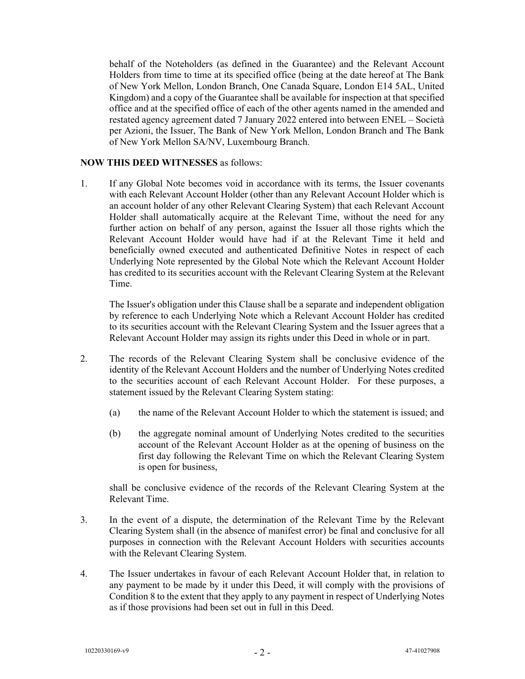behalf of the Noteholders (as defined in the Guarantee) and the Relevant Account Holders from time to time at its specified office (being at the date hereof at The Bank of New York Mellon, London Branch, One Canada Square, London E14 5AL, United Kingdom) and a copy of the Guarantee shall be available for inspection at that specified office and at the specified office of each of the other agents named in the amended and restated agency agreement dated 7 January 2022 entered into between ENEL – Società per Azioni, the Issuer, The Bank of New York Mellon, London Branch and The Bank of New York Mellon SA/NV, Luxembourg Branch.

#### **NOW THIS DEED WITNESSES** as follows:

1. If any Global Note becomes void in accordance with its terms, the Issuer covenants with each Relevant Account Holder (other than any Relevant Account Holder which is an account holder of any other Relevant Clearing System) that each Relevant Account Holder shall automatically acquire at the Relevant Time, without the need for any further action on behalf of any person, against the Issuer all those rights which the Relevant Account Holder would have had if at the Relevant Time it held and beneficially owned executed and authenticated Definitive Notes in respect of each Underlying Note represented by the Global Note which the Relevant Account Holder has credited to its securities account with the Relevant Clearing System at the Relevant Time.

The Issuer's obligation under this Clause shall be a separate and independent obligation by reference to each Underlying Note which a Relevant Account Holder has credited to its securities account with the Relevant Clearing System and the Issuer agrees that a Relevant Account Holder may assign its rights under this Deed in whole or in part.

- 2. The records of the Relevant Clearing System shall be conclusive evidence of the identity of the Relevant Account Holders and the number of Underlying Notes credited to the securities account of each Relevant Account Holder. For these purposes, a statement issued by the Relevant Clearing System stating:
	- (a) the name of the Relevant Account Holder to which the statement is issued; and
	- (b) the aggregate nominal amount of Underlying Notes credited to the securities account of the Relevant Account Holder as at the opening of business on the first day following the Relevant Time on which the Relevant Clearing System is open for business,

shall be conclusive evidence of the records of the Relevant Clearing System at the Relevant Time.

- 3. In the event of a dispute, the determination of the Relevant Time by the Relevant Clearing System shall (in the absence of manifest error) be final and conclusive for all purposes in connection with the Relevant Account Holders with securities accounts with the Relevant Clearing System.
- 4. The Issuer undertakes in favour of each Relevant Account Holder that, in relation to any payment to be made by it under this Deed, it will comply with the provisions of Condition 8 to the extent that they apply to any payment in respect of Underlying Notes as if those provisions had been set out in full in this Deed.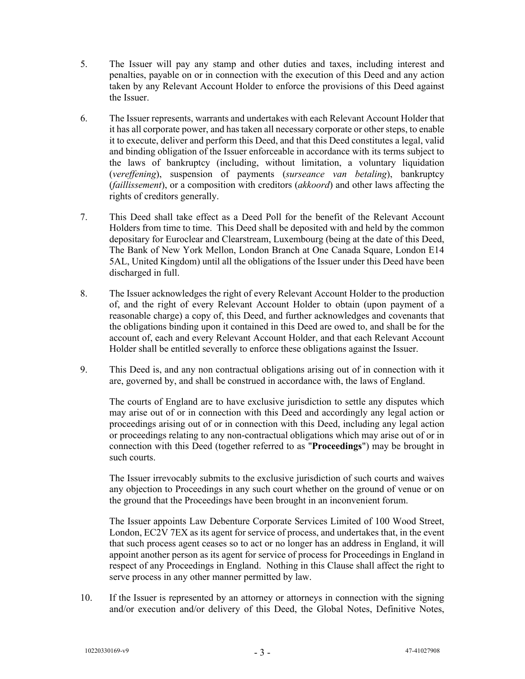- 5. The Issuer will pay any stamp and other duties and taxes, including interest and penalties, payable on or in connection with the execution of this Deed and any action taken by any Relevant Account Holder to enforce the provisions of this Deed against the Issuer.
- 6. The Issuer represents, warrants and undertakes with each Relevant Account Holder that it has all corporate power, and has taken all necessary corporate or other steps, to enable it to execute, deliver and perform this Deed, and that this Deed constitutes a legal, valid and binding obligation of the Issuer enforceable in accordance with its terms subject to the laws of bankruptcy (including, without limitation, a voluntary liquidation (*vereffening*), suspension of payments (*surseance van betaling*), bankruptcy (*faillissement*), or a composition with creditors (*akkoord*) and other laws affecting the rights of creditors generally.
- 7. This Deed shall take effect as a Deed Poll for the benefit of the Relevant Account Holders from time to time. This Deed shall be deposited with and held by the common depositary for Euroclear and Clearstream, Luxembourg (being at the date of this Deed, The Bank of New York Mellon, London Branch at One Canada Square, London E14 5AL, United Kingdom) until all the obligations of the Issuer under this Deed have been discharged in full.
- 8. The Issuer acknowledges the right of every Relevant Account Holder to the production of, and the right of every Relevant Account Holder to obtain (upon payment of a reasonable charge) a copy of, this Deed, and further acknowledges and covenants that the obligations binding upon it contained in this Deed are owed to, and shall be for the account of, each and every Relevant Account Holder, and that each Relevant Account Holder shall be entitled severally to enforce these obligations against the Issuer.
- 9. This Deed is, and any non contractual obligations arising out of in connection with it are, governed by, and shall be construed in accordance with, the laws of England.

The courts of England are to have exclusive jurisdiction to settle any disputes which may arise out of or in connection with this Deed and accordingly any legal action or proceedings arising out of or in connection with this Deed, including any legal action or proceedings relating to any non-contractual obligations which may arise out of or in connection with this Deed (together referred to as "**Proceedings**") may be brought in such courts.

The Issuer irrevocably submits to the exclusive jurisdiction of such courts and waives any objection to Proceedings in any such court whether on the ground of venue or on the ground that the Proceedings have been brought in an inconvenient forum.

The Issuer appoints Law Debenture Corporate Services Limited of 100 Wood Street, London, EC2V 7EX as its agent for service of process, and undertakes that, in the event that such process agent ceases so to act or no longer has an address in England, it will appoint another person as its agent for service of process for Proceedings in England in respect of any Proceedings in England. Nothing in this Clause shall affect the right to serve process in any other manner permitted by law.

10. If the Issuer is represented by an attorney or attorneys in connection with the signing and/or execution and/or delivery of this Deed, the Global Notes, Definitive Notes,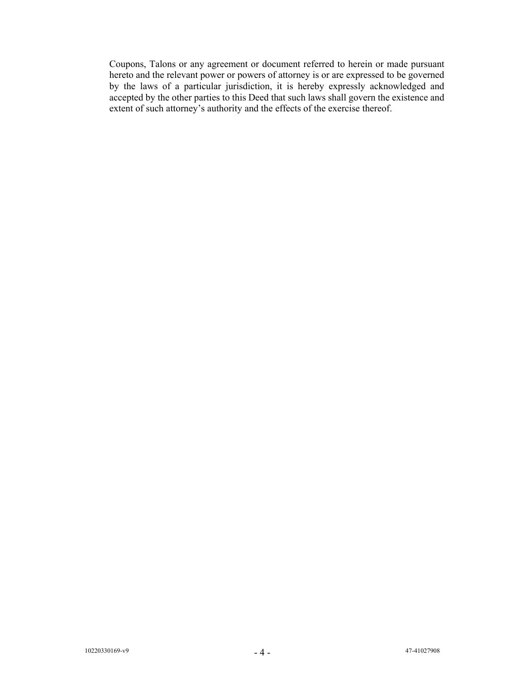Coupons, Talons or any agreement or document referred to herein or made pursuant hereto and the relevant power or powers of attorney is or are expressed to be governed by the laws of a particular jurisdiction, it is hereby expressly acknowledged and accepted by the other parties to this Deed that such laws shall govern the existence and extent of such attorney's authority and the effects of the exercise thereof.